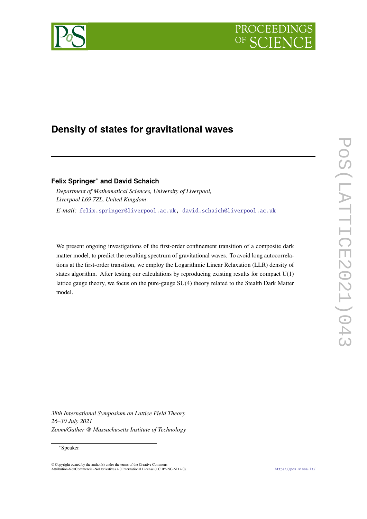



# **Density of states for gravitational waves**

**Felix Springer**<sup>∗</sup> **and David Schaich**

*Department of Mathematical Sciences, University of Liverpool, Liverpool L69 7ZL, United Kingdom E-mail:* [felix.springer@liverpool.ac.uk,](mailto:felix.springer@liverpool.ac.uk) [david.schaich@liverpool.ac.uk](mailto:david.schaich@liverpool.ac.uk)

We present ongoing investigations of the first-order confinement transition of a composite dark matter model, to predict the resulting spectrum of gravitational waves. To avoid long autocorrelations at the first-order transition, we employ the Logarithmic Linear Relaxation (LLR) density of states algorithm. After testing our calculations by reproducing existing results for compact U(1) lattice gauge theory, we focus on the pure-gauge SU(4) theory related to the Stealth Dark Matter model.

*38th International Symposium on Lattice Field Theory 26–30 July 2021 Zoom/Gather @ Massachusetts Institute of Technology*

#### ∗Speaker

<sup>©</sup> Copyright owned by the author(s) under the terms of the Creative Commons Attribution-NonCommercial-NoDerivatives 4.0 International License (CC BY-NC-ND 4.0). <https://pos.sissa.it/>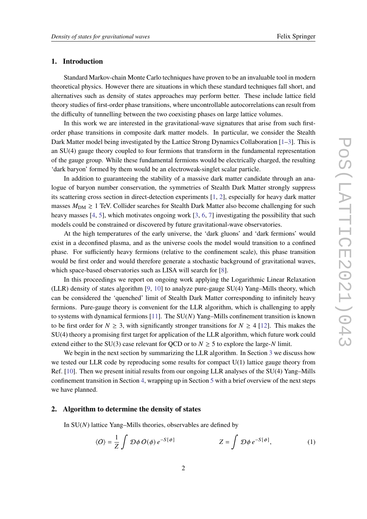## **1. Introduction**

Standard Markov-chain Monte Carlo techniques have proven to be an invaluable tool in modern theoretical physics. However there are situations in which these standard techniques fall short, and alternatives such as density of states approaches may perform better. These include lattice field theory studies of first-order phase transitions, where uncontrollable autocorrelations can result from the difficulty of tunnelling between the two coexisting phases on large lattice volumes.

In this work we are interested in the gravitational-wave signatures that arise from such firstorder phase transitions in composite dark matter models. In particular, we consider the Stealth Dark Matter model being investigated by the Lattice Strong Dynamics Collaboration [\[1–](#page-7-0)[3\]](#page-7-1). This is an SU(4) gauge theory coupled to four fermions that transform in the fundamental representation of the gauge group. While these fundamental fermions would be electrically charged, the resulting 'dark baryon' formed by them would be an electroweak-singlet scalar particle.

In addition to guaranteeing the stability of a massive dark matter candidate through an analogue of baryon number conservation, the symmetries of Stealth Dark Matter strongly suppress its scattering cross section in direct-detection experiments [\[1,](#page-7-0) [2\]](#page-7-2), especially for heavy dark matter masses  $M_{DM} \geq 1$  TeV. Collider searches for Stealth Dark Matter also become challenging for such heavy masses [\[4,](#page-7-3) [5\]](#page-7-4), which motivates ongoing work [\[3,](#page-7-1) [6,](#page-8-0) [7\]](#page-8-1) investigating the possibility that such models could be constrained or discovered by future gravitational-wave observatories.

At the high temperatures of the early universe, the 'dark gluons' and 'dark fermions' would exist in a deconfined plasma, and as the universe cools the model would transition to a confined phase. For sufficiently heavy fermions (relative to the confinement scale), this phase transition would be first order and would therefore generate a stochastic background of gravitational waves, which space-based observatories such as LISA will search for [\[8\]](#page-8-2).

In this proceedings we report on ongoing work applying the Logarithmic Linear Relaxation (LLR) density of states algorithm [\[9,](#page-8-3) [10\]](#page-8-4) to analyze pure-gauge SU(4) Yang–Mills theory, which can be considered the 'quenched' limit of Stealth Dark Matter corresponding to infinitely heavy fermions. Pure-gauge theory is convenient for the LLR algorithm, which is challenging to apply to systems with dynamical fermions  $[11]$ . The SU(N) Yang–Mills confinement transition is known to be first order for  $N \geq 3$ , with significantly stronger transitions for  $N \geq 4$  [\[12\]](#page-8-6). This makes the SU(4) theory a promising first target for application of the LLR algorithm, which future work could extend either to the SU(3) case relevant for OCD or to  $N \geq 5$  to explore the large-N limit.

We begin in the next section by summarizing the LLR algorithm. In Section [3](#page-3-0) we discuss how we tested our LLR code by reproducing some results for compact U(1) lattice gauge theory from Ref. [\[10\]](#page-8-4). Then we present initial results from our ongoing LLR analyses of the SU(4) Yang–Mills confinement transition in Section [4,](#page-4-0) wrapping up in Section [5](#page-6-0) with a brief overview of the next steps we have planned.

## **2. Algorithm to determine the density of states**

In  $SU(N)$  lattice Yang–Mills theories, observables are defined by

<span id="page-1-0"></span>
$$
\langle O \rangle = \frac{1}{Z} \int \mathcal{D}\phi \, O(\phi) \, e^{-S[\phi]} \qquad \qquad Z = \int \mathcal{D}\phi \, e^{-S[\phi]}, \qquad (1)
$$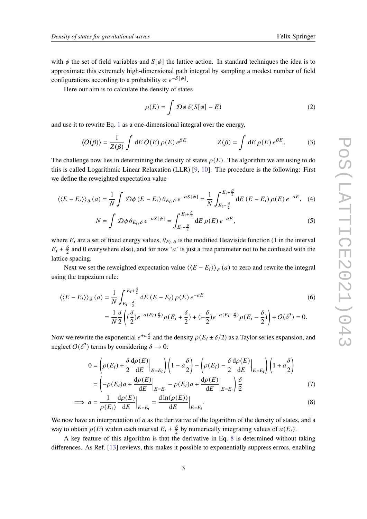with  $\phi$  the set of field variables and  $S[\phi]$  the lattice action. In standard techniques the idea is to approximate this extremely high-dimensional path integral by sampling a modest number of field configurations according to a probability  $\propto e^{-S[\phi]}$ .

Here our aim is to calculate the density of states

<span id="page-2-1"></span>
$$
\rho(E) = \int \mathcal{D}\phi \,\delta(S[\phi] - E) \tag{2}
$$

and use it to rewrite Eq. [1](#page-1-0) as a one-dimensional integral over the energy,

$$
\langle O(\beta) \rangle = \frac{1}{Z(\beta)} \int dE O(E) \rho(E) e^{\beta E} \qquad Z(\beta) = \int dE \rho(E) e^{\beta E}.
$$
 (3)

The challenge now lies in determining the density of states  $\rho(E)$ . The algorithm we are using to do this is called Logarithmic Linear Relaxation (LLR) [\[9,](#page-8-3) [10\]](#page-8-4). The procedure is the following: First we define the reweighted expectation value

$$
\langle \langle E - E_i \rangle \rangle_{\delta}(a) = \frac{1}{N} \int \mathcal{D}\phi \left( E - E_i \right) \theta_{E_i, \delta} e^{-aS[\phi]} = \frac{1}{N} \int_{E_i - \frac{\delta}{2}}^{E_i + \frac{\delta}{2}} dE \left( E - E_i \right) \rho(E) e^{-aE}, \quad (4)
$$

$$
N = \int \mathcal{D}\phi \,\theta_{E_i,\delta} \, e^{-aS[\phi]} = \int_{E_i - \frac{\delta}{2}}^{E_i + \frac{\delta}{2}} dE \, \rho(E) \, e^{-aE},\tag{5}
$$

where  $E_i$  are a set of fixed energy values,  $\theta_{E_i, \delta}$  is the modified Heaviside function (1 in the interval  $E_i \pm \frac{\delta}{2}$  and 0 everywhere else), and for now '*a*' is just a free parameter not to be confused with the lattice spacing.

Next we set the reweighted expectation value  $\langle \langle E - E_i \rangle \rangle_{\delta}(a)$  to zero and rewrite the integral using the trapezium rule:

$$
\langle \langle E - E_i \rangle \rangle_{\delta}(a) = \frac{1}{N} \int_{E_i - \frac{\delta}{2}}^{E_i + \frac{\delta}{2}} dE (E - E_i) \rho(E) e^{-aE}
$$
  

$$
= \frac{1}{N} \frac{\delta}{2} \left( (\frac{\delta}{2}) e^{-a(E_i + \frac{\delta}{2})} \rho(E_i + \frac{\delta}{2}) + (-\frac{\delta}{2}) e^{-a(E_i - \frac{\delta}{2})} \rho(E_i - \frac{\delta}{2}) \right) + O(\delta^3) = 0.
$$
 (6)

Now we rewrite the exponential  $e^{\pm a \frac{\delta}{2}}$  and the density  $\rho(E_i \pm \delta/2)$  as a Taylor series expansion, and neglect  $O(\delta^2)$  terms by considering  $\delta \to 0$ :

<span id="page-2-0"></span>
$$
0 = \left(\rho(E_i) + \frac{\delta}{2} \frac{d\rho(E)}{dE}\Big|_{E=E_i}\right) \left(1 - a\frac{\delta}{2}\right) - \left(\rho(E_i) - \frac{\delta}{2} \frac{d\rho(E)}{dE}\Big|_{E=E_i}\right) \left(1 + a\frac{\delta}{2}\right)
$$

$$
= \left(-\rho(E_i)a + \frac{d\rho(E)}{dE}\Big|_{E=E_i} - \rho(E_i)a + \frac{d\rho(E)}{dE}\Big|_{E=E_i}\right) \frac{\delta}{2}
$$
(7)

$$
\implies a = \frac{1}{\rho(E_i)} \frac{d\rho(E)}{dE} \Big|_{E=E_i} = \frac{d \ln(\rho(E))}{dE} \Big|_{E=E_i}.
$$
\n(8)

We now have an interpretation of  $a$  as the derivative of the logarithm of the density of states, and a way to obtain  $\rho(E)$  within each interval  $E_i \pm \frac{\delta}{2}$  by numerically integrating values of  $a(E_i)$ .

A key feature of this algorithm is that the derivative in Eq. [8](#page-2-0) is determined without taking differences. As Ref. [\[13\]](#page-8-7) reviews, this makes it possible to exponentially suppress errors, enabling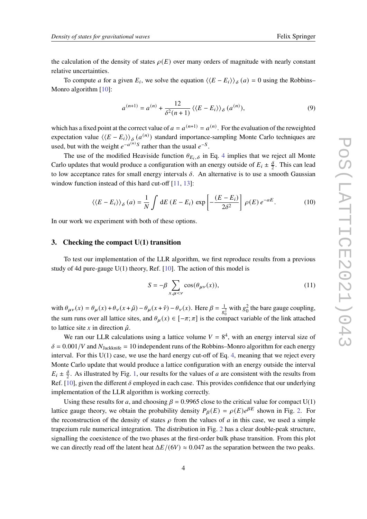the calculation of the density of states  $\rho(E)$  over many orders of magnitude with nearly constant relative uncertainties.

To compute *a* for a given  $E_i$ , we solve the equation  $\langle \langle E - E_i \rangle \rangle_{\delta}(a) = 0$  using the Robbins– Monro algorithm [\[10\]](#page-8-4):

$$
a^{(n+1)} = a^{(n)} + \frac{12}{\delta^2 (n+1)} \left\langle \langle E - E_i \rangle \right\rangle_\delta (a^{(n)}), \tag{9}
$$

which has a fixed point at the correct value of  $a = a^{(n+1)} = a^{(n)}$ . For the evaluation of the reweighted expectation value  $\langle \langle E - E_i \rangle \rangle_{\delta}$  ( $a^{(n)}$ ) standard importance-sampling Monte Carlo techniques are used, but with the weight  $e^{-a^{(n)}S}$  rather than the usual  $e^{-S}$ .

The use of the modified Heaviside function  $\theta_{E_i, \delta}$  in Eq. [4](#page-2-1) implies that we reject all Monte Carlo updates that would produce a configuration with an energy outside of  $E_i \pm \frac{\delta}{2}$ . This can lead to low acceptance rates for small energy intervals  $\delta$ . An alternative is to use a smooth Gaussian window function instead of this hard cut-off [\[11,](#page-8-5) [13\]](#page-8-7):

<span id="page-3-1"></span>
$$
\langle \langle E - E_i \rangle \rangle_{\delta}(a) = \frac{1}{N} \int dE \left( E - E_i \right) \exp \left[ -\frac{(E - E_i)}{2\delta^2} \right] \rho(E) e^{-aE}.
$$
 (10)

In our work we experiment with both of these options.

#### <span id="page-3-0"></span>**3. Checking the compact U(1) transition**

To test our implementation of the LLR algorithm, we first reproduce results from a previous study of 4d pure-gauge  $U(1)$  theory, Ref. [\[10\]](#page-8-4). The action of this model is

$$
S = -\beta \sum_{x,\mu < \nu} \cos(\theta_{\mu\nu}(x)),\tag{11}
$$

with  $\theta_{\mu\nu}(x) = \theta_{\mu}(x) + \theta_{\nu}(x + \hat{\mu}) - \theta_{\mu}(x + \hat{\nu}) - \theta_{\nu}(x)$ . Here  $\beta = \frac{1}{\sqrt{2}}$  $\frac{1}{g_0^2}$  with  $g_0^2$  the bare gauge coupling, the sum runs over all lattice sites, and  $\theta_{\mu}(x) \in [-\pi; \pi]$  is the compact variable of the link attached to lattice site x in direction  $\hat{\mu}$ .

We ran our LLR calculations using a lattice volume  $V = 8<sup>4</sup>$ , with an energy interval size of  $\delta = 0.001/V$  and  $N_{\text{Jackknife}} = 10$  independent runs of the Robbins–Monro algorithm for each energy interval. For this  $U(1)$  case, we use the hard energy cut-off of Eq. [4,](#page-2-1) meaning that we reject every Monte Carlo update that would produce a lattice configuration with an energy outside the interval  $E_i \pm \frac{\delta}{2}$ . As illustrated by Fig. [1,](#page-4-1) our results for the values of *a* are consistent with the results from Ref. [\[10\]](#page-8-4), given the different  $\delta$  employed in each case. This provides confidence that our underlying implementation of the LLR algorithm is working correctly.

Using these results for a, and choosing  $\beta = 0.9965$  close to the critical value for compact U(1) lattice gauge theory, we obtain the probability density  $P_{\beta}(E) = \rho(E)e^{\beta E}$  shown in Fig. [2.](#page-4-2) For the reconstruction of the density of states  $\rho$  from the values of  $a$  in this case, we used a simple trapezium rule numerical integration. The distribution in Fig. [2](#page-4-2) has a clear double-peak structure, signalling the coexistence of the two phases at the first-order bulk phase transition. From this plot we can directly read off the latent heat  $\Delta E/(6V) \approx 0.047$  as the separation between the two peaks.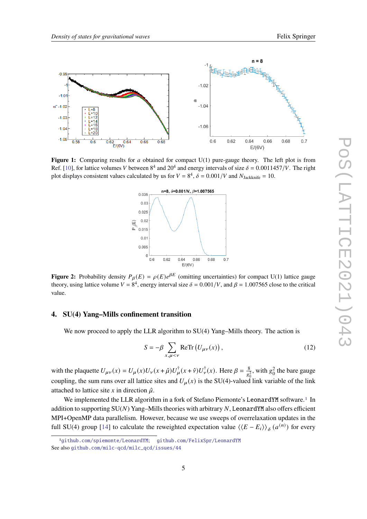<span id="page-4-1"></span>

<span id="page-4-2"></span>**Figure 1:** Comparing results for a obtained for compact  $U(1)$  pure-gauge theory. The left plot is from Ref. [\[10\]](#page-8-4), for lattice volumes V between  $8^4$  and  $20^4$  and energy intervals of size  $\delta = 0.0011457/V$ . The right plot displays consistent values calculated by us for  $V = 8^4$ ,  $\delta = 0.001/V$  and  $N_{\text{Jackknife}} = 10$ .



**Figure 2:** Probability density  $P_{\beta}(E) = \rho(E)e^{\beta E}$  (omitting uncertainties) for compact U(1) lattice gauge theory, using lattice volume  $V = 8^4$ , energy interval size  $\delta = 0.001/V$ , and  $\beta = 1.007565$  close to the critical value.

## <span id="page-4-0"></span>**4. SU(4) Yang–Mills confinement transition**

We now proceed to apply the LLR algorithm to  $SU(4)$  Yang–Mills theory. The action is

<span id="page-4-4"></span>
$$
S = -\beta \sum_{x,\mu < \nu} \text{ReTr}\left(U_{\mu\nu}(x)\right),\tag{12}
$$

with the plaquette  $U_{\mu\nu}(x) = U_{\mu}(x)U_{\nu}(x+\hat{\mu})U_{\mu}^{\dagger}(x+\hat{\nu})U_{\nu}^{\dagger}(x)$ . Here  $\beta = \frac{8}{\pi}$  $\frac{8}{g_0^2}$ , with  $g_0^2$  the bare gauge coupling, the sum runs over all lattice sites and  $U_{\mu}(x)$  is the SU(4)-valued link variable of the link attached to lattice site x in direction  $\hat{\mu}$ .

We implemented the LLR algorithm in a fork of Stefano Piemonte's LeonardYM software.<sup>[1](#page-4-3)</sup> In addition to supporting  $SU(N)$  Yang–Mills theories with arbitrary N, LeonardYM also offers efficient MPI+OpenMP data parallelism. However, because we use sweeps of overrelaxation updates in the full SU(4) group [\[14\]](#page-8-8) to calculate the reweighted expectation value  $\langle \langle E - E_i \rangle \rangle_{\delta}$   $(a^{(n)})$  for every

<span id="page-4-3"></span><sup>1</sup>[github.com/spiemonte/LeonardYM](https://github.com/spiemonte/LeonardYM); [github.com/FelixSpr/LeonardYM](https://github.com/FelixSpr/LeonardYM) See also [github.com/milc-qcd/milc\\_qcd/issues/44](https://github.com/milc-qcd/milc_qcd/issues/44)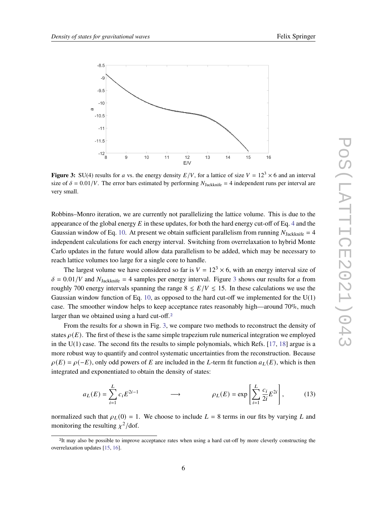<span id="page-5-0"></span>

**Figure 3:** SU(4) results for *a* vs. the energy density  $E/V$ , for a lattice of size  $V = 12<sup>3</sup> \times 6$  and an interval size of  $\delta = 0.01/V$ . The error bars estimated by performing  $N_{\text{Jackknife}} = 4$  independent runs per interval are very small.

Robbins–Monro iteration, we are currently not parallelizing the lattice volume. This is due to the appearance of the global energy  $E$  in these updates, for both the hard energy cut-off of Eq. [4](#page-2-1) and the Gaussian window of Eq. [10.](#page-3-1) At present we obtain sufficient parallelism from running  $N_{\text{Jackknife}} = 4$ independent calculations for each energy interval. Switching from overrelaxation to hybrid Monte Carlo updates in the future would allow data parallelism to be added, which may be necessary to reach lattice volumes too large for a single core to handle.

The largest volume we have considered so far is  $V = 12<sup>3</sup> \times 6$ , with an energy interval size of  $\delta = 0.01/V$  and  $N_{\text{Jackknife}} = 4$  samples per energy interval. Figure [3](#page-5-0) shows our results for a from roughly 700 energy intervals spanning the range  $8 \leq E/V \leq 15$ . In these calculations we use the Gaussian window function of Eq. [10,](#page-3-1) as opposed to the hard cut-off we implemented for the  $U(1)$ case. The smoother window helps to keep acceptance rates reasonably high—around 70%, much larger than we obtained using a hard cut-off.<sup>[2](#page-5-1)</sup>

From the results for  $a$  shown in Fig. [3,](#page-5-0) we compare two methods to reconstruct the density of states  $\rho(E)$ . The first of these is the same simple trapezium rule numerical integration we employed in the U(1) case. The second fits the results to simple polynomials, which Refs. [\[17,](#page-8-9) [18\]](#page-8-10) argue is a more robust way to quantify and control systematic uncertainties from the reconstruction. Because  $\rho(E) = \rho(-E)$ , only odd powers of E are included in the L-term fit function  $a_L(E)$ , which is then integrated and exponentiated to obtain the density of states:

$$
a_L(E) = \sum_{i=1}^{L} c_i E^{2i-1} \qquad \longrightarrow \qquad \rho_L(E) = \exp\left[\sum_{i=1}^{L} \frac{c_i}{2i} E^{2i}\right],\tag{13}
$$

normalized such that  $\rho_L(0) = 1$ . We choose to include  $L = 8$  terms in our fits by varying L and monitoring the resulting  $\chi^2$ /dof.

<span id="page-5-1"></span><sup>2</sup>It may also be possible to improve acceptance rates when using a hard cut-off by more cleverly constructing the overrelaxation updates [\[15,](#page-8-11) [16\]](#page-8-12).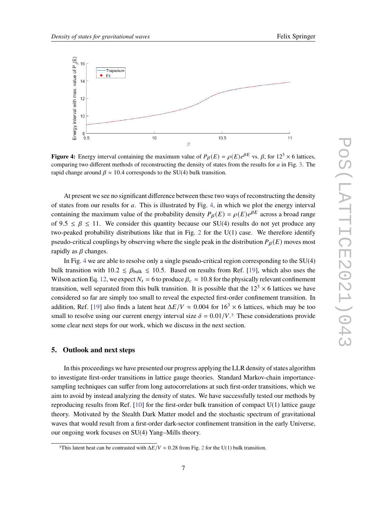<span id="page-6-1"></span>

**Figure 4:** Energy interval containing the maximum value of  $P_\beta(E) = \rho(E)e^{\beta E}$  vs.  $\beta$ , for  $12^3 \times 6$  lattices, comparing two different methods of reconstructing the density of states from the results for  $a$  in Fig. [3.](#page-5-0) The rapid change around  $\beta \approx 10.4$  corresponds to the SU(4) bulk transition.

At present we see no significant difference between these two ways of reconstructing the density of states from our results for  $a$ . This is illustrated by Fig. [4,](#page-6-1) in which we plot the energy interval containing the maximum value of the probability density  $P_{\beta}(E) = \rho(E)e^{\beta E}$  across a broad range of  $9.5 \le \beta \le 11$ . We consider this quantity because our SU(4) results do not yet produce any two-peaked probability distributions like that in Fig. [2](#page-4-2) for the U(1) case. We therefore identify pseudo-critical couplings by observing where the single peak in the distribution  $P_{\beta}(E)$  moves most rapidly as  $\beta$  changes.

In Fig. [4](#page-6-1) we are able to resolve only a single pseudo-critical region corresponding to the SU(4) bulk transition with  $10.2 \leq \beta_{\text{bulk}} \leq 10.5$ . Based on results from Ref. [\[19\]](#page-8-13), which also uses the Wilson action Eq. [12,](#page-4-4) we expect  $N_t = 6$  to produce  $\beta_c \approx 10.8$  for the physically relevant confinement transition, well separated from this bulk transition. It is possible that the  $12<sup>3</sup> \times 6$  lattices we have considered so far are simply too small to reveal the expected first-order confinement transition. In addition, Ref. [\[19\]](#page-8-13) also finds a latent heat  $\Delta E/V \approx 0.004$  for  $16<sup>3</sup> \times 6$  lattices, which may be too small to resolve using our current energy interval size  $\delta = 0.01/V$ .<sup>[3](#page-6-2)</sup> These considerations provide some clear next steps for our work, which we discuss in the next section.

## <span id="page-6-0"></span>**5. Outlook and next steps**

In this proceedings we have presented our progress applying the LLR density of states algorithm to investigate first-order transitions in lattice gauge theories. Standard Markov-chain importancesampling techniques can suffer from long autocorrelations at such first-order transitions, which we aim to avoid by instead analyzing the density of states. We have successfully tested our methods by reproducing results from Ref.  $[10]$  for the first-order bulk transition of compact  $U(1)$  lattice gauge theory. Motivated by the Stealth Dark Matter model and the stochastic spectrum of gravitational waves that would result from a first-order dark-sector confinement transition in the early Universe, our ongoing work focuses on SU(4) Yang–Mills theory.

<span id="page-6-2"></span><sup>&</sup>lt;sup>3</sup>This latent heat can be contrasted with  $\Delta E/V \approx 0.28$  $\Delta E/V \approx 0.28$  $\Delta E/V \approx 0.28$  from Fig. 2 for the U(1) bulk transition.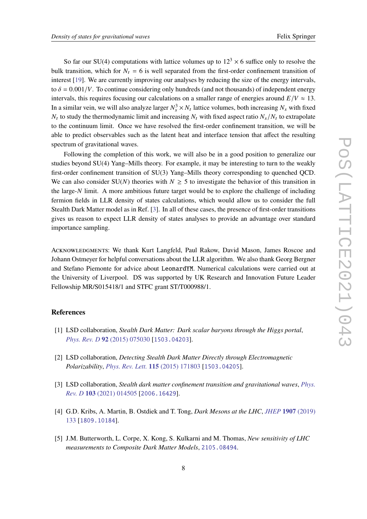So far our SU(4) computations with lattice volumes up to  $12<sup>3</sup> \times 6$  suffice only to resolve the bulk transition, which for  $N_t = 6$  is well separated from the first-order confinement transition of interest [\[19\]](#page-8-13). We are currently improving our analyses by reducing the size of the energy intervals, to  $\delta = 0.001/V$ . To continue considering only hundreds (and not thousands) of independent energy intervals, this requires focusing our calculations on a smaller range of energies around  $E/V \approx 13$ . In a similar vein, we will also analyze larger  $N_s^3 \times N_t$  lattice volumes, both increasing  $N_s$  with fixed  $N_t$  to study the thermodynamic limit and increasing  $N_t$  with fixed aspect ratio  $N_s/N_t$  to extrapolate to the continuum limit. Once we have resolved the first-order confinement transition, we will be able to predict observables such as the latent heat and interface tension that affect the resulting spectrum of gravitational waves.

Following the completion of this work, we will also be in a good position to generalize our studies beyond SU(4) Yang–Mills theory. For example, it may be interesting to turn to the weakly first-order confinement transition of SU(3) Yang–Mills theory corresponding to quenched QCD. We can also consider SU(N) theories with  $N \ge 5$  to investigate the behavior of this transition in the large- $N$  limit. A more ambitious future target would be to explore the challenge of including fermion fields in LLR density of states calculations, which would allow us to consider the full Stealth Dark Matter model as in Ref. [\[3\]](#page-7-1). In all of these cases, the presence of first-order transitions gives us reason to expect LLR density of states analyses to provide an advantage over standard importance sampling.

ACKNOWLEDGMENTS: We thank Kurt Langfeld, Paul Rakow, David Mason, James Roscoe and Johann Ostmeyer for helpful conversations about the LLR algorithm. We also thank Georg Bergner and Stefano Piemonte for advice about LeonardYM. Numerical calculations were carried out at the University of Liverpool. DS was supported by UK Research and Innovation Future Leader Fellowship MR/S015418/1 and STFC grant ST/T000988/1.

#### **References**

- <span id="page-7-0"></span>[1] LSD collaboration, *Stealth Dark Matter: Dark scalar baryons through the Higgs portal*, *[Phys. Rev. D](https://doi.org/10.1103/PhysRevD.92.075030)* **92** (2015) 075030 [[1503.04203](https://arxiv.org/abs/1503.04203)].
- <span id="page-7-2"></span>[2] LSD collaboration, *Detecting Stealth Dark Matter Directly through Electromagnetic Polarizability*, *[Phys. Rev. Lett.](https://doi.org/10.1103/PhysRevLett.115.171803)* **115** (2015) 171803 [[1503.04205](https://arxiv.org/abs/1503.04205)].
- <span id="page-7-1"></span>[3] LSD collaboration, *Stealth dark matter confinement transition and gravitational waves*, *[Phys.](https://doi.org/10.1103/PhysRevD.103.014505) Rev. D* **103** [\(2021\) 014505](https://doi.org/10.1103/PhysRevD.103.014505) [[2006.16429](https://arxiv.org/abs/2006.16429)].
- <span id="page-7-3"></span>[4] G.D. Kribs, A. Martin, B. Ostdiek and T. Tong, *Dark Mesons at the LHC*, *[JHEP](https://doi.org/10.1007/JHEP07(2019)133)* **1907** (2019) [133](https://doi.org/10.1007/JHEP07(2019)133) [[1809.10184](https://arxiv.org/abs/1809.10184)].
- <span id="page-7-4"></span>[5] J.M. Butterworth, L. Corpe, X. Kong, S. Kulkarni and M. Thomas, *New sensitivity of LHC measurements to Composite Dark Matter Models*, [2105.08494](https://arxiv.org/abs/2105.08494).